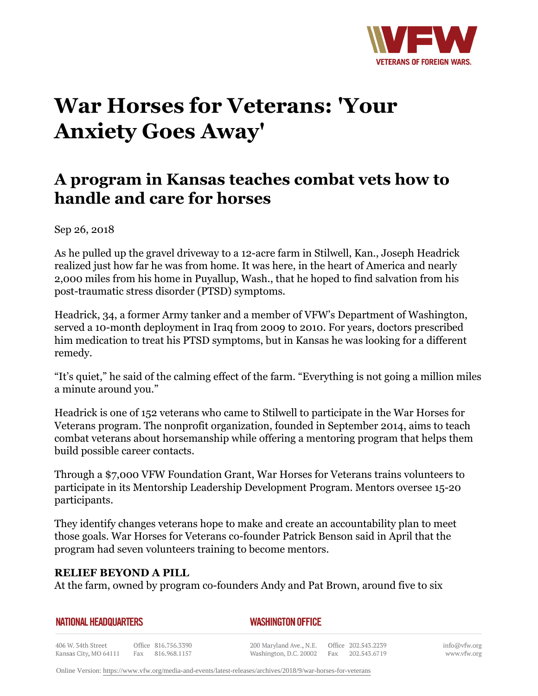

# **War Horses for Veterans: 'Your Anxiety Goes Away'**

# **A program in Kansas teaches combat vets how to handle and care for horses**

Sep 26, 2018

As he pulled up the gravel driveway to a 12-acre farm in Stilwell, Kan., Joseph Headrick realized just how far he was from home. It was here, in the heart of America and nearly 2,000 miles from his home in Puyallup, Wash., that he hoped to find salvation from his post-traumatic stress disorder (PTSD) symptoms.

Headrick, 34, a former Army tanker and a member of VFW's Department of Washington, served a 10-month deployment in Iraq from 2009 to 2010. For years, doctors prescribed him medication to treat his PTSD symptoms, but in Kansas he was looking for a different remedy.

"It's quiet," he said of the calming effect of the farm. "Everything is not going a million miles a minute around you."

Headrick is one of 152 veterans who came to Stilwell to participate in the War Horses for Veterans program. The nonprofit organization, founded in September 2014, aims to teach combat veterans about horsemanship while offering a mentoring program that helps them build possible career contacts.

Through a \$7,000 VFW Foundation Grant, War Horses for Veterans trains volunteers to participate in its Mentorship Leadership Development Program. Mentors oversee 15-20 participants.

They identify changes veterans hope to make and create an accountability plan to meet those goals. War Horses for Veterans co-founder Patrick Benson said in April that the program had seven volunteers training to become mentors.

# **RELIEF BEYOND A PILL**

At the farm, owned by program co-founders Andy and Pat Brown, around five to six

#### **NATIONAL HEADQUARTERS**

#### *WASHINGTON OFFICE*

406 W. 34th Street Office 816.756.3390 Fax 816.968.1157 Kansas City, MO 64111

200 Maryland Ave., N.E. Washington, D.C. 20002 Fax 202.543.6719

Office 202.543.2239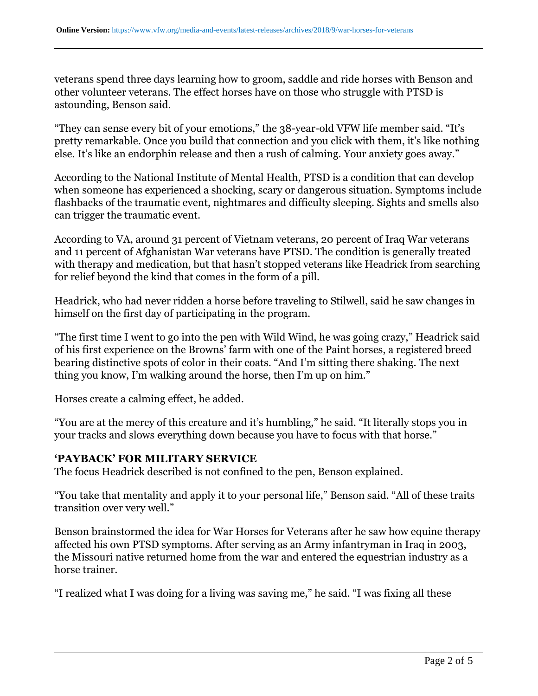veterans spend three days learning how to groom, saddle and ride horses with Benson and other volunteer veterans. The effect horses have on those who struggle with PTSD is astounding, Benson said.

"They can sense every bit of your emotions," the 38-year-old VFW life member said. "It's pretty remarkable. Once you build that connection and you click with them, it's like nothing else. It's like an endorphin release and then a rush of calming. Your anxiety goes away."

According to the National Institute of Mental Health, PTSD is a condition that can develop when someone has experienced a shocking, scary or dangerous situation. Symptoms include flashbacks of the traumatic event, nightmares and difficulty sleeping. Sights and smells also can trigger the traumatic event.

According to VA, around 31 percent of Vietnam veterans, 20 percent of Iraq War veterans and 11 percent of Afghanistan War veterans have PTSD. The condition is generally treated with therapy and medication, but that hasn't stopped veterans like Headrick from searching for relief beyond the kind that comes in the form of a pill.

Headrick, who had never ridden a horse before traveling to Stilwell, said he saw changes in himself on the first day of participating in the program.

"The first time I went to go into the pen with Wild Wind, he was going crazy," Headrick said of his first experience on the Browns' farm with one of the Paint horses, a registered breed bearing distinctive spots of color in their coats. "And I'm sitting there shaking. The next thing you know, I'm walking around the horse, then I'm up on him."

Horses create a calming effect, he added.

"You are at the mercy of this creature and it's humbling," he said. "It literally stops you in your tracks and slows everything down because you have to focus with that horse."

# **'PAYBACK' FOR MILITARY SERVICE**

The focus Headrick described is not confined to the pen, Benson explained.

"You take that mentality and apply it to your personal life," Benson said. "All of these traits transition over very well."

Benson brainstormed the idea for War Horses for Veterans after he saw how equine therapy affected his own PTSD symptoms. After serving as an Army infantryman in Iraq in 2003, the Missouri native returned home from the war and entered the equestrian industry as a horse trainer.

"I realized what I was doing for a living was saving me," he said. "I was fixing all these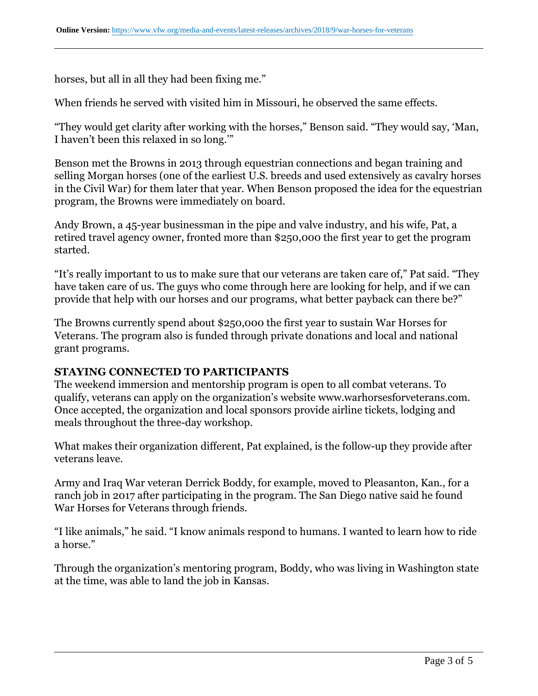horses, but all in all they had been fixing me."

When friends he served with visited him in Missouri, he observed the same effects.

"They would get clarity after working with the horses," Benson said. "They would say, 'Man, I haven't been this relaxed in so long.'"

Benson met the Browns in 2013 through equestrian connections and began training and selling Morgan horses (one of the earliest U.S. breeds and used extensively as cavalry horses in the Civil War) for them later that year. When Benson proposed the idea for the equestrian program, the Browns were immediately on board.

Andy Brown, a 45-year businessman in the pipe and valve industry, and his wife, Pat, a retired travel agency owner, fronted more than \$250,000 the first year to get the program started.

"It's really important to us to make sure that our veterans are taken care of," Pat said. "They have taken care of us. The guys who come through here are looking for help, and if we can provide that help with our horses and our programs, what better payback can there be?"

The Browns currently spend about \$250,000 the first year to sustain War Horses for Veterans. The program also is funded through private donations and local and national grant programs.

## **STAYING CONNECTED TO PARTICIPANTS**

The weekend immersion and mentorship program is open to all combat veterans. To qualify, veterans can apply on the organization's website www.warhorsesforveterans.com. Once accepted, the organization and local sponsors provide airline tickets, lodging and meals throughout the three-day workshop.

What makes their organization different, Pat explained, is the follow-up they provide after veterans leave.

Army and Iraq War veteran Derrick Boddy, for example, moved to Pleasanton, Kan., for a ranch job in 2017 after participating in the program. The San Diego native said he found War Horses for Veterans through friends.

"I like animals," he said. "I know animals respond to humans. I wanted to learn how to ride a horse."

Through the organization's mentoring program, Boddy, who was living in Washington state at the time, was able to land the job in Kansas.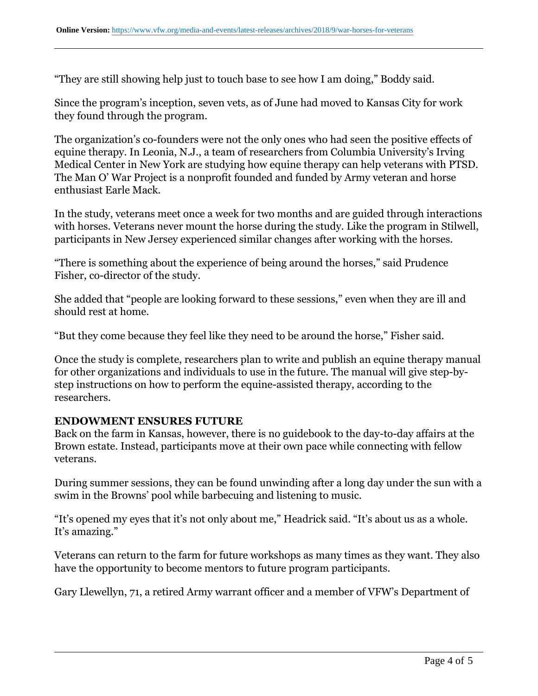"They are still showing help just to touch base to see how I am doing," Boddy said.

Since the program's inception, seven vets, as of June had moved to Kansas City for work they found through the program.

The organization's co-founders were not the only ones who had seen the positive effects of equine therapy. In Leonia, N.J., a team of researchers from Columbia University's Irving Medical Center in New York are studying how equine therapy can help veterans with PTSD. The Man O' War Project is a nonprofit founded and funded by Army veteran and horse enthusiast Earle Mack.

In the study, veterans meet once a week for two months and are guided through interactions with horses. Veterans never mount the horse during the study. Like the program in Stilwell, participants in New Jersey experienced similar changes after working with the horses.

"There is something about the experience of being around the horses," said Prudence Fisher, co-director of the study.

She added that "people are looking forward to these sessions," even when they are ill and should rest at home.

"But they come because they feel like they need to be around the horse," Fisher said.

Once the study is complete, researchers plan to write and publish an equine therapy manual for other organizations and individuals to use in the future. The manual will give step-bystep instructions on how to perform the equine-assisted therapy, according to the researchers.

## **ENDOWMENT ENSURES FUTURE**

Back on the farm in Kansas, however, there is no guidebook to the day-to-day affairs at the Brown estate. Instead, participants move at their own pace while connecting with fellow veterans.

During summer sessions, they can be found unwinding after a long day under the sun with a swim in the Browns' pool while barbecuing and listening to music.

"It's opened my eyes that it's not only about me," Headrick said. "It's about us as a whole. It's amazing."

Veterans can return to the farm for future workshops as many times as they want. They also have the opportunity to become mentors to future program participants.

Gary Llewellyn, 71, a retired Army warrant officer and a member of VFW's Department of